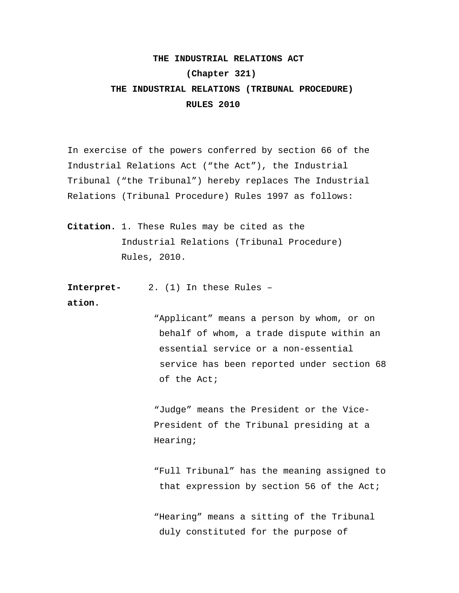## **THE INDUSTRIAL RELATIONS ACT**

## **(Chapter 321)**

## **THE INDUSTRIAL RELATIONS (TRIBUNAL PROCEDURE) RULES 2010**

In exercise of the powers conferred by section 66 of the Industrial Relations Act ("the Act"), the Industrial Tribunal ("the Tribunal") hereby replaces The Industrial Relations (Tribunal Procedure) Rules 1997 as follows:

**Citation.** 1. These Rules may be cited as the Industrial Relations (Tribunal Procedure) Rules, 2010.

**Interpret-** 2. (1) In these Rules – **ation.** 

> "Applicant" means a person by whom, or on behalf of whom, a trade dispute within an essential service or a non-essential service has been reported under section 68 of the Act;

"Judge" means the President or the Vice-President of the Tribunal presiding at a Hearing;

 "Full Tribunal" has the meaning assigned to that expression by section 56 of the Act;

 "Hearing" means a sitting of the Tribunal duly constituted for the purpose of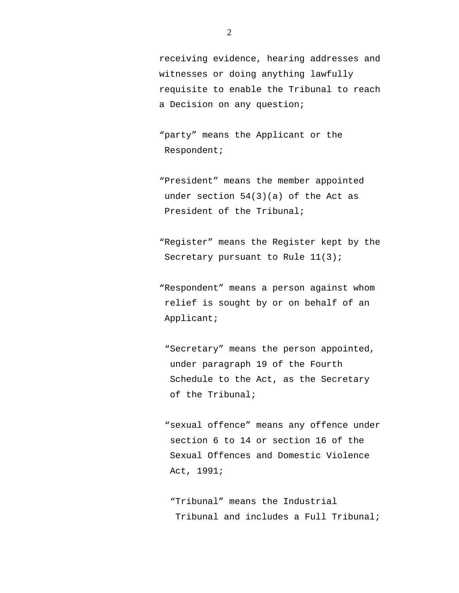receiving evidence, hearing addresses and witnesses or doing anything lawfully requisite to enable the Tribunal to reach a Decision on any question;

 "party" means the Applicant or the Respondent;

- "President" means the member appointed under section 54(3)(a) of the Act as President of the Tribunal;
- "Register" means the Register kept by the Secretary pursuant to Rule 11(3);
- "Respondent" means a person against whom relief is sought by or on behalf of an Applicant;
	- "Secretary" means the person appointed, under paragraph 19 of the Fourth Schedule to the Act, as the Secretary of the Tribunal;
	- "sexual offence" means any offence under section 6 to 14 or section 16 of the Sexual Offences and Domestic Violence Act, 1991;

 "Tribunal" means the Industrial Tribunal and includes a Full Tribunal;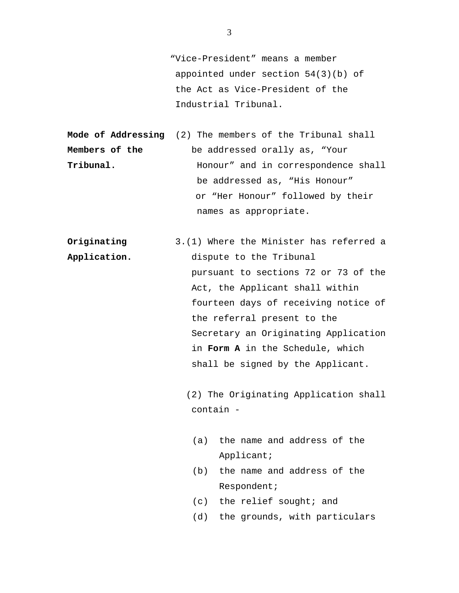"Vice-President" means a member appointed under section 54(3)(b) of the Act as Vice-President of the Industrial Tribunal.

**Mode of Addressing** (2) The members of the Tribunal shall **Members of the** be addressed orally as, "Your **Tribunal. Honour'** and in correspondence shall be addressed as, "His Honour" or "Her Honour" followed by their names as appropriate.

**Originating** 3.(1) Where the Minister has referred a **Application.** dispute to the Tribunal pursuant to sections 72 or 73 of the Act, the Applicant shall within fourteen days of receiving notice of the referral present to the Secretary an Originating Application in **Form A** in the Schedule, which shall be signed by the Applicant.

> (2) The Originating Application shall contain -

- (a) the name and address of the Applicant;
- (b) the name and address of the Respondent;
- (c) the relief sought; and
- (d) the grounds, with particulars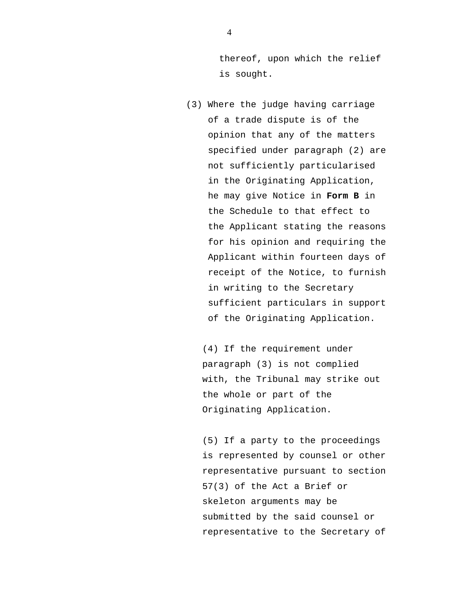thereof, upon which the relief is sought.

 (3) Where the judge having carriage of a trade dispute is of the opinion that any of the matters specified under paragraph (2) are not sufficiently particularised in the Originating Application, he may give Notice in **Form B** in the Schedule to that effect to the Applicant stating the reasons for his opinion and requiring the Applicant within fourteen days of receipt of the Notice, to furnish in writing to the Secretary sufficient particulars in support of the Originating Application.

(4) If the requirement under paragraph (3) is not complied with, the Tribunal may strike out the whole or part of the Originating Application.

(5) If a party to the proceedings is represented by counsel or other representative pursuant to section 57(3) of the Act a Brief or skeleton arguments may be submitted by the said counsel or representative to the Secretary of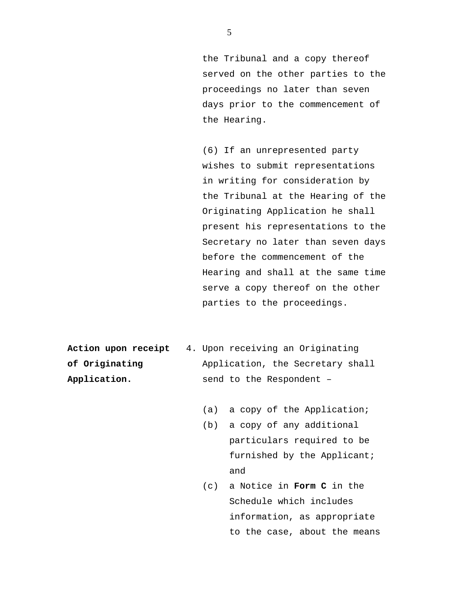the Tribunal and a copy thereof served on the other parties to the proceedings no later than seven days prior to the commencement of the Hearing.

(6) If an unrepresented party wishes to submit representations in writing for consideration by the Tribunal at the Hearing of the Originating Application he shall present his representations to the Secretary no later than seven days before the commencement of the Hearing and shall at the same time serve a copy thereof on the other parties to the proceedings.

| Action upon receipt | 4. Upon receiving an Originating |
|---------------------|----------------------------------|
| of Originating      | Application, the Secretary shall |
| Application.        | send to the Respondent -         |

- (a) a copy of the Application;
- (b) a copy of any additional particulars required to be furnished by the Applicant; and
- (c) a Notice in **Form C** in the Schedule which includes information, as appropriate to the case, about the means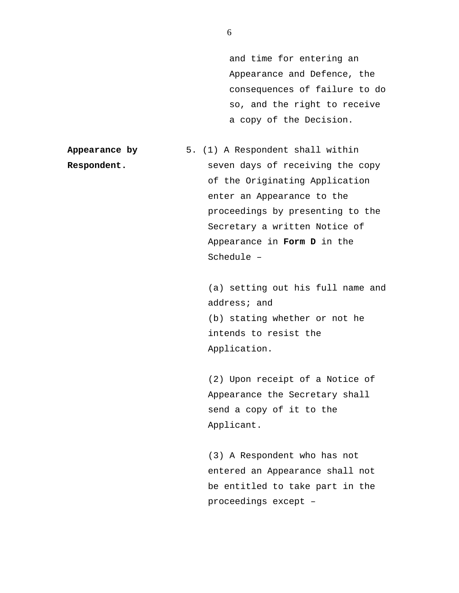and time for entering an Appearance and Defence, the consequences of failure to do so, and the right to receive a copy of the Decision.

**Appearance by** 5. (1) A Respondent shall within **Respondent.** Seven days of receiving the copy of the Originating Application enter an Appearance to the proceedings by presenting to the Secretary a written Notice of Appearance in **Form D** in the Schedule –

> (a) setting out his full name and address; and (b) stating whether or not he intends to resist the Application.

(2) Upon receipt of a Notice of Appearance the Secretary shall send a copy of it to the Applicant.

(3) A Respondent who has not entered an Appearance shall not be entitled to take part in the proceedings except –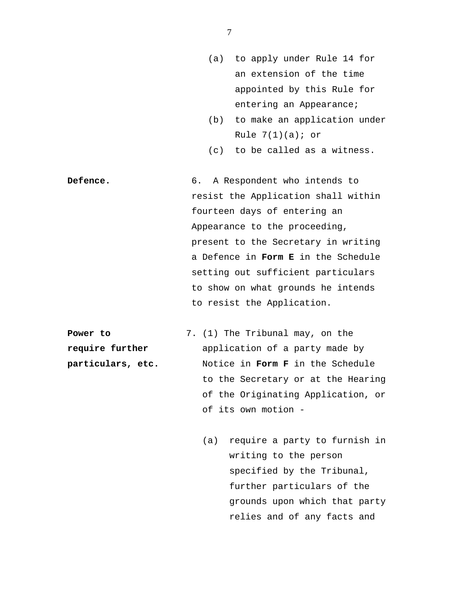- (a) to apply under Rule 14 for an extension of the time appointed by this Rule for entering an Appearance;
- (b) to make an application under Rule  $7(1)(a)$ ; or
- (c) to be called as a witness.

Defence. 6. A Respondent who intends to resist the Application shall within fourteen days of entering an Appearance to the proceeding, present to the Secretary in writing a Defence in **Form E** in the Schedule setting out sufficient particulars to show on what grounds he intends to resist the Application.

**Power to** 7. (1) The Tribunal may, on the **require further** application of a party made by **particulars, etc.** Notice in **Form F** in the Schedule to the Secretary or at the Hearing of the Originating Application, or of its own motion -

> (a) require a party to furnish in writing to the person specified by the Tribunal, further particulars of the grounds upon which that party relies and of any facts and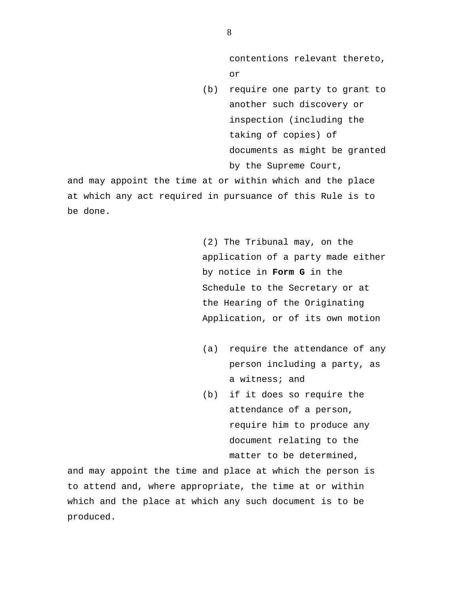contentions relevant thereto, or

(b) require one party to grant to another such discovery or inspection (including the taking of copies) of documents as might be granted by the Supreme Court,

and may appoint the time at or within which and the place at which any act required in pursuance of this Rule is to be done.

> (2) The Tribunal may, on the application of a party made either by notice in **Form G** in the Schedule to the Secretary or at the Hearing of the Originating Application, or of its own motion

- (a) require the attendance of any person including a party, as a witness; and
- (b) if it does so require the attendance of a person, require him to produce any document relating to the matter to be determined,

and may appoint the time and place at which the person is to attend and, where appropriate, the time at or within which and the place at which any such document is to be produced.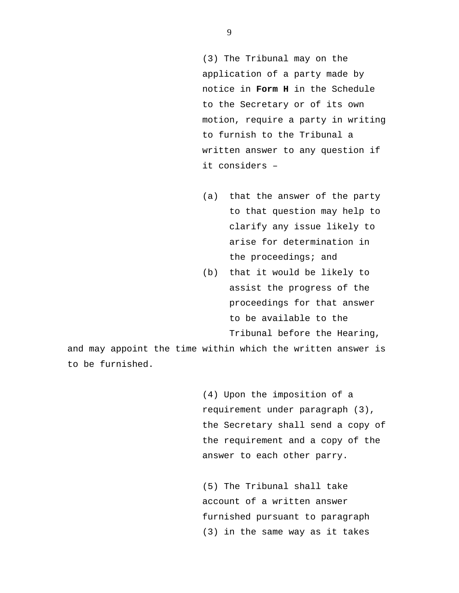(3) The Tribunal may on the application of a party made by notice in **Form H** in the Schedule to the Secretary or of its own motion, require a party in writing to furnish to the Tribunal a written answer to any question if it considers –

- (a) that the answer of the party to that question may help to clarify any issue likely to arise for determination in the proceedings; and
- (b) that it would be likely to assist the progress of the proceedings for that answer to be available to the Tribunal before the Hearing,

and may appoint the time within which the written answer is to be furnished.

> (4) Upon the imposition of a requirement under paragraph (3), the Secretary shall send a copy of the requirement and a copy of the answer to each other parry.

(5) The Tribunal shall take account of a written answer furnished pursuant to paragraph (3) in the same way as it takes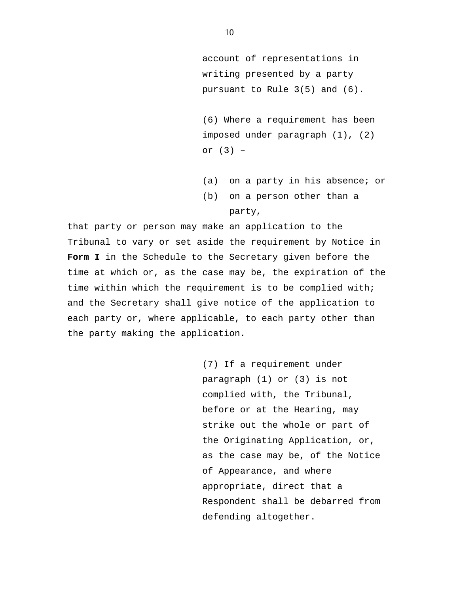account of representations in writing presented by a party pursuant to Rule 3(5) and (6).

(6) Where a requirement has been imposed under paragraph (1), (2) or (3) –

(a) on a party in his absence; or

(b) on a person other than a party,

that party or person may make an application to the Tribunal to vary or set aside the requirement by Notice in **Form I** in the Schedule to the Secretary given before the time at which or, as the case may be, the expiration of the time within which the requirement is to be complied with; and the Secretary shall give notice of the application to each party or, where applicable, to each party other than the party making the application.

> (7) If a requirement under paragraph (1) or (3) is not complied with, the Tribunal, before or at the Hearing, may strike out the whole or part of the Originating Application, or, as the case may be, of the Notice of Appearance, and where appropriate, direct that a Respondent shall be debarred from defending altogether.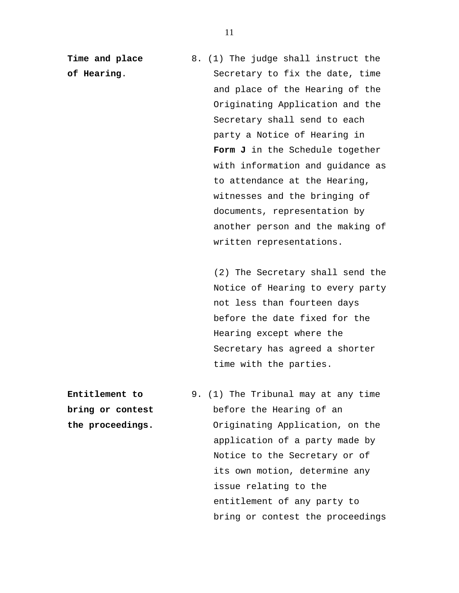**Time and place** 8. (1) The judge shall instruct the **of Hearing**. Secretary to fix the date, time and place of the Hearing of the Originating Application and the Secretary shall send to each party a Notice of Hearing in **Form J** in the Schedule together with information and guidance as to attendance at the Hearing, witnesses and the bringing of documents, representation by another person and the making of written representations.

> (2) The Secretary shall send the Notice of Hearing to every party not less than fourteen days before the date fixed for the Hearing except where the Secretary has agreed a shorter time with the parties.

**Entitlement to** 9. (1) The Tribunal may at any time **bring or contest before** the Hearing of an **the proceedings.** Originating Application, on the application of a party made by Notice to the Secretary or of its own motion, determine any issue relating to the entitlement of any party to bring or contest the proceedings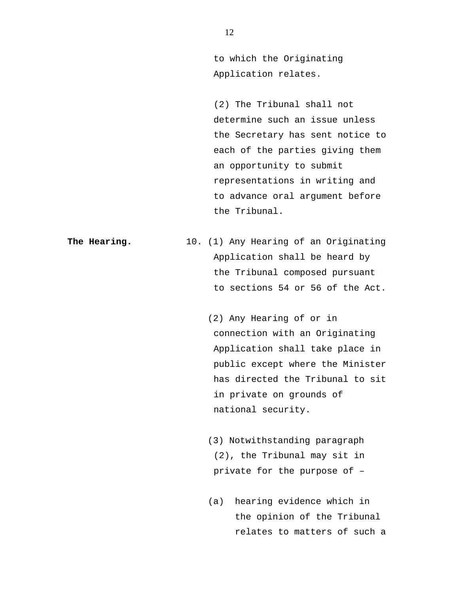to which the Originating Application relates.

 (2) The Tribunal shall not determine such an issue unless the Secretary has sent notice to each of the parties giving them an opportunity to submit representations in writing and to advance oral argument before the Tribunal.

**The Hearing.** 10. (1) Any Hearing of an Originating Application shall be heard by the Tribunal composed pursuant to sections 54 or 56 of the Act.

> (2) Any Hearing of or in connection with an Originating Application shall take place in public except where the Minister has directed the Tribunal to sit in private on grounds of national security.

 (3) Notwithstanding paragraph (2), the Tribunal may sit in private for the purpose of –

(a) hearing evidence which in the opinion of the Tribunal relates to matters of such a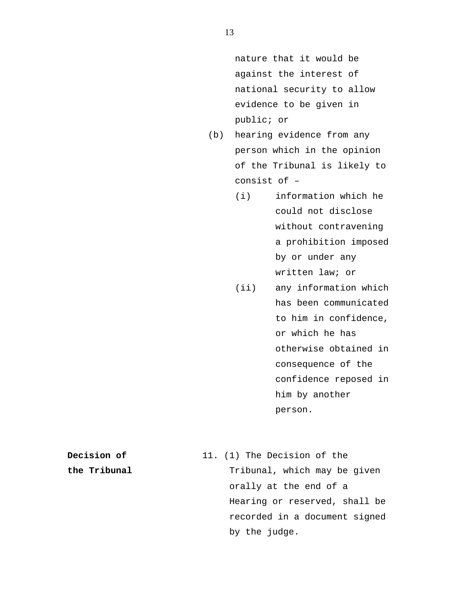nature that it would be against the interest of national security to allow evidence to be given in public; or

- (b) hearing evidence from any person which in the opinion of the Tribunal is likely to consist of –
	- (i) information which he could not disclose without contravening a prohibition imposed by or under any written law; or
	- (ii) any information which has been communicated to him in confidence, or which he has otherwise obtained in consequence of the confidence reposed in him by another person.
- **Decision of** 11. (1) The Decision of the **the Tribunal** Tribunal, which may be given orally at the end of a Hearing or reserved, shall be recorded in a document signed by the judge.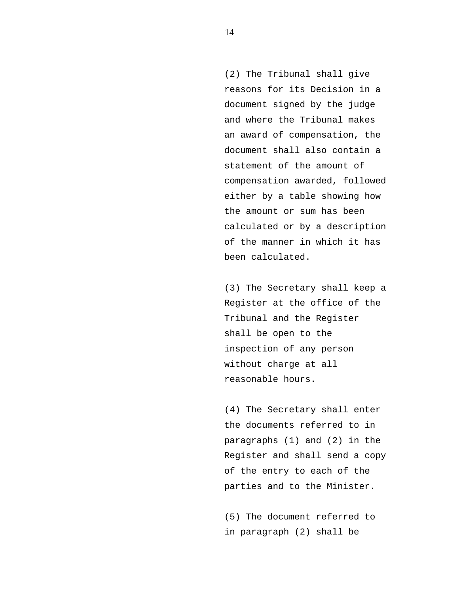(2) The Tribunal shall give reasons for its Decision in a document signed by the judge and where the Tribunal makes an award of compensation, the document shall also contain a statement of the amount of compensation awarded, followed either by a table showing how the amount or sum has been calculated or by a description of the manner in which it has been calculated.

(3) The Secretary shall keep a Register at the office of the Tribunal and the Register shall be open to the inspection of any person without charge at all reasonable hours.

(4) The Secretary shall enter the documents referred to in paragraphs (1) and (2) in the Register and shall send a copy of the entry to each of the parties and to the Minister.

(5) The document referred to in paragraph (2) shall be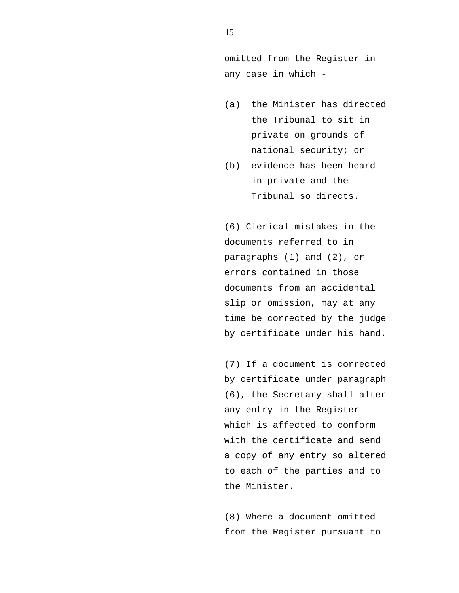omitted from the Register in any case in which -

- (a) the Minister has directed the Tribunal to sit in private on grounds of national security; or
- (b) evidence has been heard in private and the Tribunal so directs.

(6) Clerical mistakes in the documents referred to in paragraphs (1) and (2), or errors contained in those documents from an accidental slip or omission, may at any time be corrected by the judge by certificate under his hand.

(7) If a document is corrected by certificate under paragraph (6), the Secretary shall alter any entry in the Register which is affected to conform with the certificate and send a copy of any entry so altered to each of the parties and to the Minister.

(8) Where a document omitted from the Register pursuant to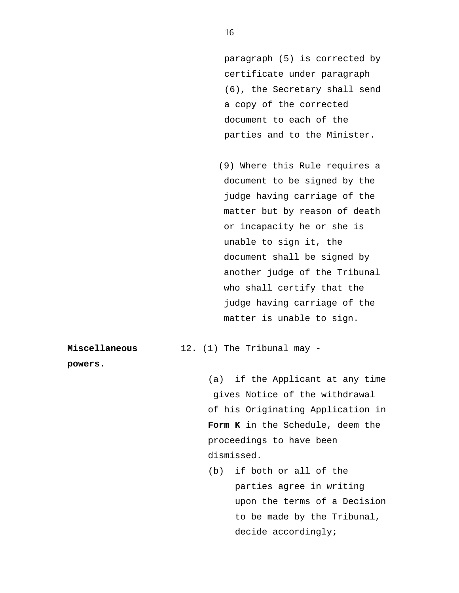paragraph (5) is corrected by certificate under paragraph (6), the Secretary shall send a copy of the corrected document to each of the parties and to the Minister.

 (9) Where this Rule requires a document to be signed by the judge having carriage of the matter but by reason of death or incapacity he or she is unable to sign it, the document shall be signed by another judge of the Tribunal who shall certify that the judge having carriage of the matter is unable to sign.

**Miscellaneous** 12. (1) The Tribunal may -

**powers.** 

(a) if the Applicant at any time gives Notice of the withdrawal of his Originating Application in **Form K** in the Schedule, deem the proceedings to have been dismissed.

(b) if both or all of the parties agree in writing upon the terms of a Decision to be made by the Tribunal, decide accordingly;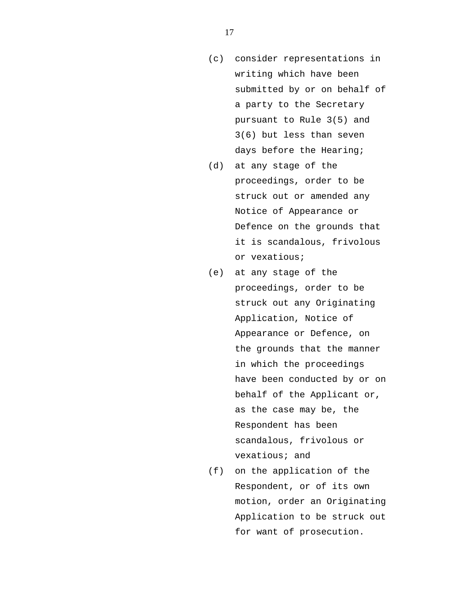- (c) consider representations in writing which have been submitted by or on behalf of a party to the Secretary pursuant to Rule 3(5) and 3(6) but less than seven days before the Hearing;
- (d) at any stage of the proceedings, order to be struck out or amended any Notice of Appearance or Defence on the grounds that it is scandalous, frivolous or vexatious;
- (e) at any stage of the proceedings, order to be struck out any Originating Application, Notice of Appearance or Defence, on the grounds that the manner in which the proceedings have been conducted by or on behalf of the Applicant or, as the case may be, the Respondent has been scandalous, frivolous or vexatious; and
- (f) on the application of the Respondent, or of its own motion, order an Originating Application to be struck out for want of prosecution.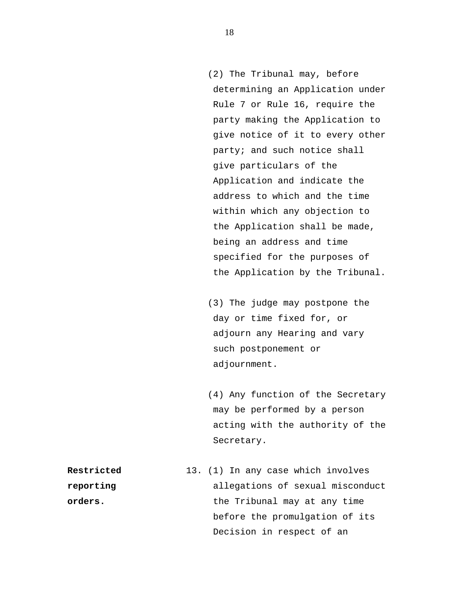(2) The Tribunal may, before determining an Application under Rule 7 or Rule 16, require the party making the Application to give notice of it to every other party; and such notice shall give particulars of the Application and indicate the address to which and the time within which any objection to the Application shall be made, being an address and time specified for the purposes of the Application by the Tribunal.

 (3) The judge may postpone the day or time fixed for, or adjourn any Hearing and vary such postponement or adjournment.

 (4) Any function of the Secretary may be performed by a person acting with the authority of the Secretary.

**Restricted** 13. (1) In any case which involves **reporting allegations of sexual misconduct orders.** the Tribunal may at any time before the promulgation of its Decision in respect of an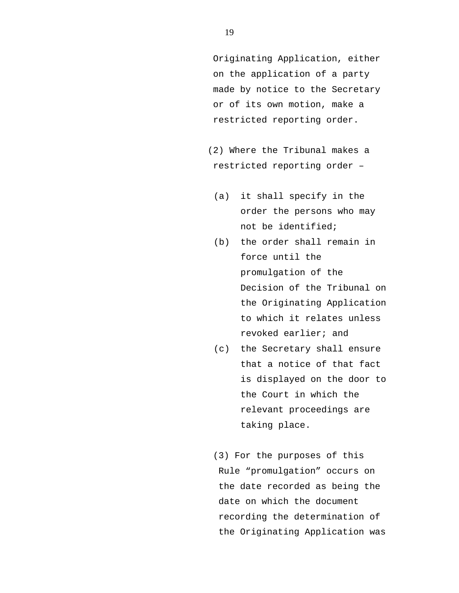Originating Application, either on the application of a party made by notice to the Secretary or of its own motion, make a restricted reporting order.

 (2) Where the Tribunal makes a restricted reporting order –

- (a) it shall specify in the order the persons who may not be identified;
- (b) the order shall remain in force until the promulgation of the Decision of the Tribunal on the Originating Application to which it relates unless revoked earlier; and
- (c) the Secretary shall ensure that a notice of that fact is displayed on the door to the Court in which the relevant proceedings are taking place.
- (3) For the purposes of this Rule "promulgation" occurs on the date recorded as being the date on which the document recording the determination of the Originating Application was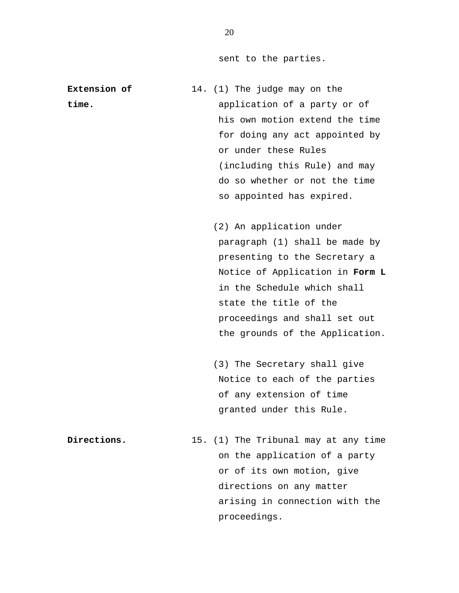sent to the parties.

**Extension of** 14. (1) The judge may on the **time.** application of a party or of his own motion extend the time for doing any act appointed by or under these Rules (including this Rule) and may do so whether or not the time so appointed has expired.

> (2) An application under paragraph (1) shall be made by presenting to the Secretary a Notice of Application in **Form L** in the Schedule which shall state the title of the proceedings and shall set out the grounds of the Application.

 (3) The Secretary shall give Notice to each of the parties of any extension of time granted under this Rule.

**Directions.** 15. (1) The Tribunal may at any time on the application of a party or of its own motion, give directions on any matter arising in connection with the proceedings.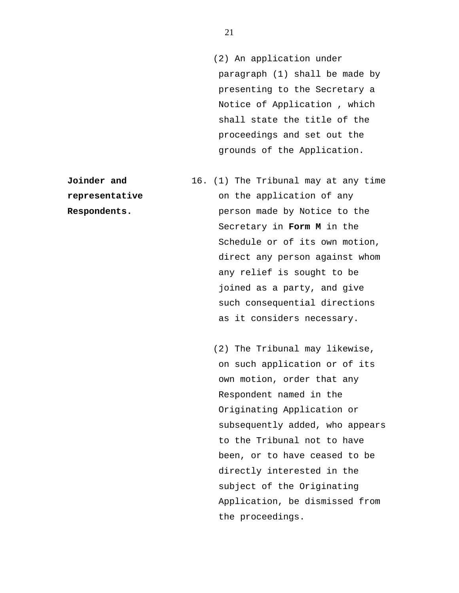(2) An application under paragraph (1) shall be made by presenting to the Secretary a Notice of Application , which shall state the title of the proceedings and set out the grounds of the Application.

- **Joinder and** 16. (1) The Tribunal may at any time **representative** on the application of any **Respondents.** person made by Notice to the Secretary in **Form M** in the Schedule or of its own motion, direct any person against whom any relief is sought to be joined as a party, and give such consequential directions as it considers necessary.
	- (2) The Tribunal may likewise, on such application or of its own motion, order that any Respondent named in the Originating Application or subsequently added, who appears to the Tribunal not to have been, or to have ceased to be directly interested in the subject of the Originating Application, be dismissed from the proceedings.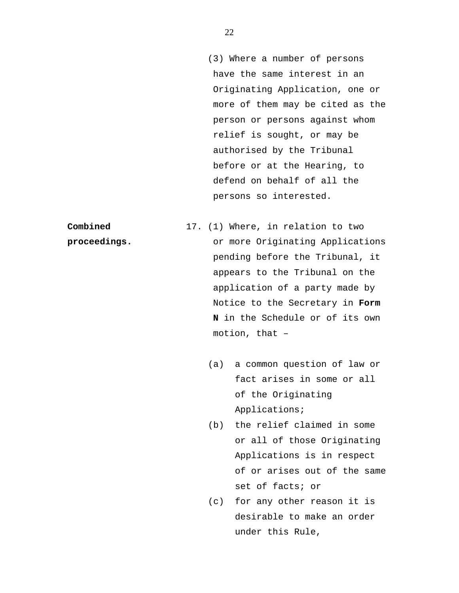(3) Where a number of persons have the same interest in an Originating Application, one or more of them may be cited as the person or persons against whom relief is sought, or may be authorised by the Tribunal before or at the Hearing, to defend on behalf of all the persons so interested.

**Combined** 17. (1) Where, in relation to two **proceedings.** or more Originating Applications pending before the Tribunal, it appears to the Tribunal on the application of a party made by Notice to the Secretary in **Form N** in the Schedule or of its own motion, that –

- (a) a common question of law or fact arises in some or all of the Originating Applications;
- (b) the relief claimed in some or all of those Originating Applications is in respect of or arises out of the same set of facts; or
- (c) for any other reason it is desirable to make an order under this Rule,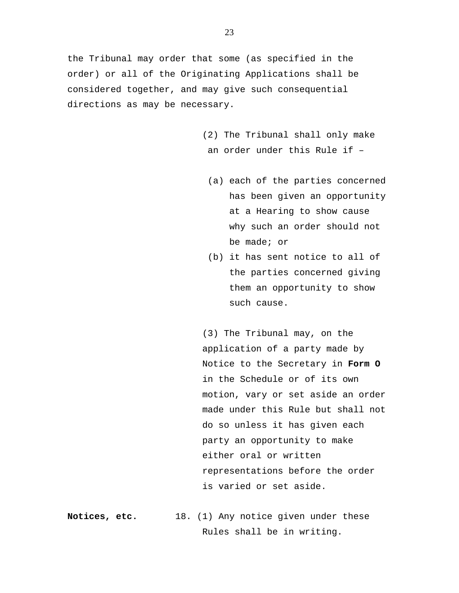the Tribunal may order that some (as specified in the order) or all of the Originating Applications shall be considered together, and may give such consequential directions as may be necessary.

- (2) The Tribunal shall only make an order under this Rule if –
	- (a) each of the parties concerned has been given an opportunity at a Hearing to show cause why such an order should not be made; or
	- (b) it has sent notice to all of the parties concerned giving them an opportunity to show such cause.

 (3) The Tribunal may, on the application of a party made by Notice to the Secretary in **Form O** in the Schedule or of its own motion, vary or set aside an order made under this Rule but shall not do so unless it has given each party an opportunity to make either oral or written representations before the order is varied or set aside.

**Notices, etc.** 18. (1) Any notice given under these Rules shall be in writing.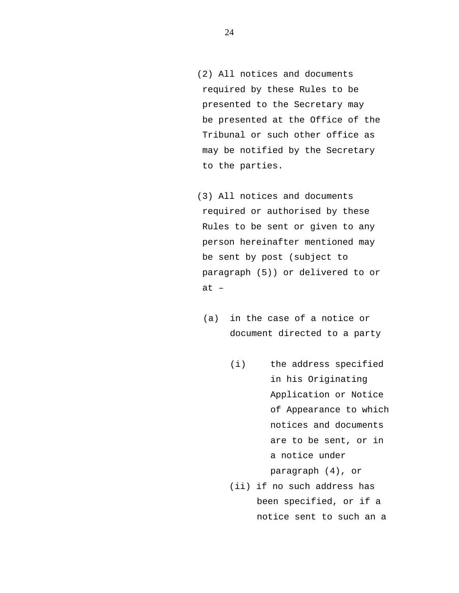- (2) All notices and documents required by these Rules to be presented to the Secretary may be presented at the Office of the Tribunal or such other office as may be notified by the Secretary to the parties.
- (3) All notices and documents required or authorised by these Rules to be sent or given to any person hereinafter mentioned may be sent by post (subject to paragraph (5)) or delivered to or at –
	- (a) in the case of a notice or document directed to a party
		- (i) the address specified in his Originating Application or Notice of Appearance to which notices and documents are to be sent, or in a notice under paragraph (4), or
		- (ii) if no such address has been specified, or if a notice sent to such an a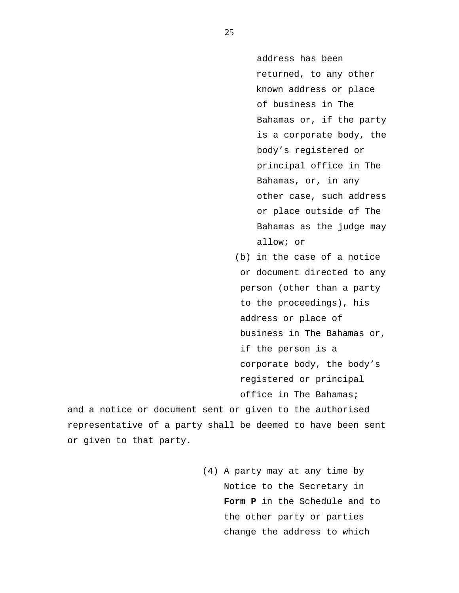address has been returned, to any other known address or place of business in The Bahamas or, if the party is a corporate body, the body's registered or principal office in The Bahamas, or, in any other case, such address or place outside of The Bahamas as the judge may allow; or

 (b) in the case of a notice or document directed to any person (other than a party to the proceedings), his address or place of business in The Bahamas or, if the person is a corporate body, the body's registered or principal office in The Bahamas;

and a notice or document sent or given to the authorised representative of a party shall be deemed to have been sent or given to that party.

> (4) A party may at any time by Notice to the Secretary in **Form P** in the Schedule and to the other party or parties change the address to which